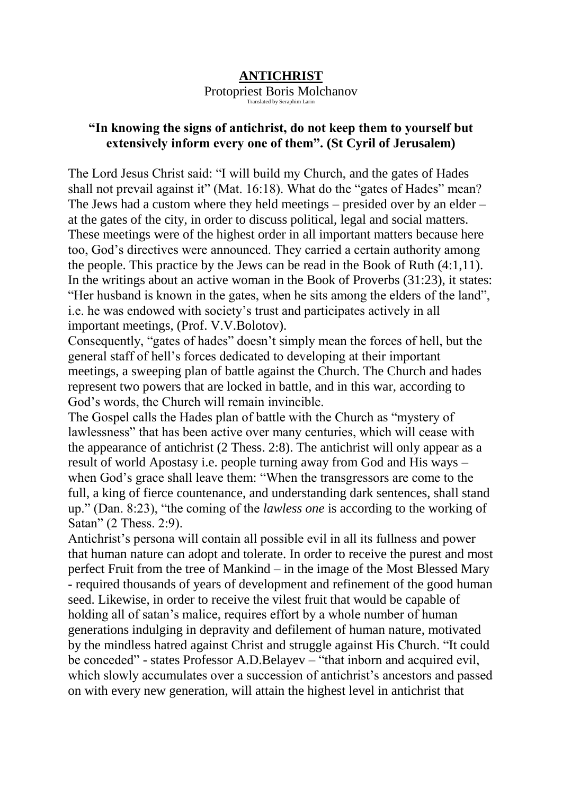## **ANTICHRIST**

Protopriest Boris Molchanov

## Translated by Seraphim Larin

## **"In knowing the signs of antichrist, do not keep them to yourself but extensively inform every one of them". (St Cyril of Jerusalem)**

The Lord Jesus Christ said: "I will build my Church, and the gates of Hades shall not prevail against it" (Mat. 16:18). What do the "gates of Hades" mean? The Jews had a custom where they held meetings – presided over by an elder – at the gates of the city, in order to discuss political, legal and social matters. These meetings were of the highest order in all important matters because here too, God's directives were announced. They carried a certain authority among the people. This practice by the Jews can be read in the Book of Ruth (4:1,11). In the writings about an active woman in the Book of Proverbs (31:23), it states: "Her husband is known in the gates, when he sits among the elders of the land", i.e. he was endowed with society's trust and participates actively in all important meetings, (Prof. V.V.Bolotov).

Consequently, "gates of hades" doesn't simply mean the forces of hell, but the general staff of hell's forces dedicated to developing at their important meetings, a sweeping plan of battle against the Church. The Church and hades represent two powers that are locked in battle, and in this war, according to God's words, the Church will remain invincible.

The Gospel calls the Hades plan of battle with the Church as "mystery of lawlessness" that has been active over many centuries, which will cease with the appearance of antichrist (2 Thess. 2:8). The antichrist will only appear as a result of world Apostasy i.e. people turning away from God and His ways – when God's grace shall leave them: "When the transgressors are come to the full, a king of fierce countenance, and understanding dark sentences, shall stand up." (Dan. 8:23), "the coming of the *lawless one* is according to the working of Satan" (2 Thess. 2:9).

Antichrist's persona will contain all possible evil in all its fullness and power that human nature can adopt and tolerate. In order to receive the purest and most perfect Fruit from the tree of Mankind – in the image of the Most Blessed Mary - required thousands of years of development and refinement of the good human seed. Likewise, in order to receive the vilest fruit that would be capable of holding all of satan's malice, requires effort by a whole number of human generations indulging in depravity and defilement of human nature, motivated by the mindless hatred against Christ and struggle against His Church. "It could be conceded" - states Professor A.D.Belayev – "that inborn and acquired evil, which slowly accumulates over a succession of antichrist's ancestors and passed on with every new generation, will attain the highest level in antichrist that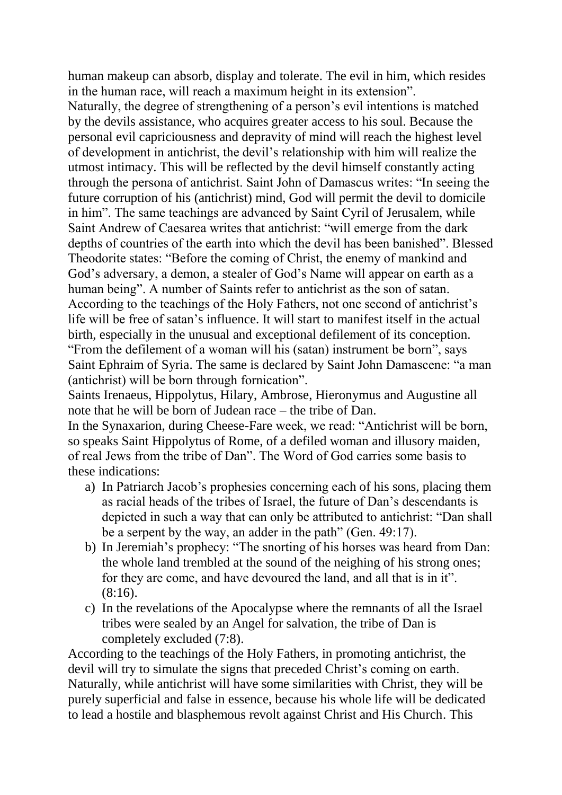human makeup can absorb, display and tolerate. The evil in him, which resides in the human race, will reach a maximum height in its extension".

Naturally, the degree of strengthening of a person's evil intentions is matched by the devils assistance, who acquires greater access to his soul. Because the personal evil capriciousness and depravity of mind will reach the highest level of development in antichrist, the devil's relationship with him will realize the utmost intimacy. This will be reflected by the devil himself constantly acting through the persona of antichrist. Saint John of Damascus writes: "In seeing the future corruption of his (antichrist) mind, God will permit the devil to domicile in him". The same teachings are advanced by Saint Cyril of Jerusalem, while Saint Andrew of Caesarea writes that antichrist: "will emerge from the dark depths of countries of the earth into which the devil has been banished". Blessed Theodorite states: "Before the coming of Christ, the enemy of mankind and God's adversary, a demon, a stealer of God's Name will appear on earth as a human being". A number of Saints refer to antichrist as the son of satan. According to the teachings of the Holy Fathers, not one second of antichrist's life will be free of satan's influence. It will start to manifest itself in the actual birth, especially in the unusual and exceptional defilement of its conception. "From the defilement of a woman will his (satan) instrument be born", says Saint Ephraim of Syria. The same is declared by Saint John Damascene: "a man (antichrist) will be born through fornication".

Saints Irenaeus, Hippolytus, Hilary, Ambrose, Hieronymus and Augustine all note that he will be born of Judean race – the tribe of Dan.

In the Synaxarion, during Cheese-Fare week, we read: "Antichrist will be born, so speaks Saint Hippolytus of Rome, of a defiled woman and illusory maiden, of real Jews from the tribe of Dan". The Word of God carries some basis to these indications:

- a) In Patriarch Jacob's prophesies concerning each of his sons, placing them as racial heads of the tribes of Israel, the future of Dan's descendants is depicted in such a way that can only be attributed to antichrist: "Dan shall be a serpent by the way, an adder in the path" (Gen. 49:17).
- b) In Jeremiah's prophecy: "The snorting of his horses was heard from Dan: the whole land trembled at the sound of the neighing of his strong ones; for they are come, and have devoured the land, and all that is in it".  $(8:16)$ .
- c) In the revelations of the Apocalypse where the remnants of all the Israel tribes were sealed by an Angel for salvation, the tribe of Dan is completely excluded (7:8).

According to the teachings of the Holy Fathers, in promoting antichrist, the devil will try to simulate the signs that preceded Christ's coming on earth. Naturally, while antichrist will have some similarities with Christ, they will be purely superficial and false in essence, because his whole life will be dedicated to lead a hostile and blasphemous revolt against Christ and His Church. This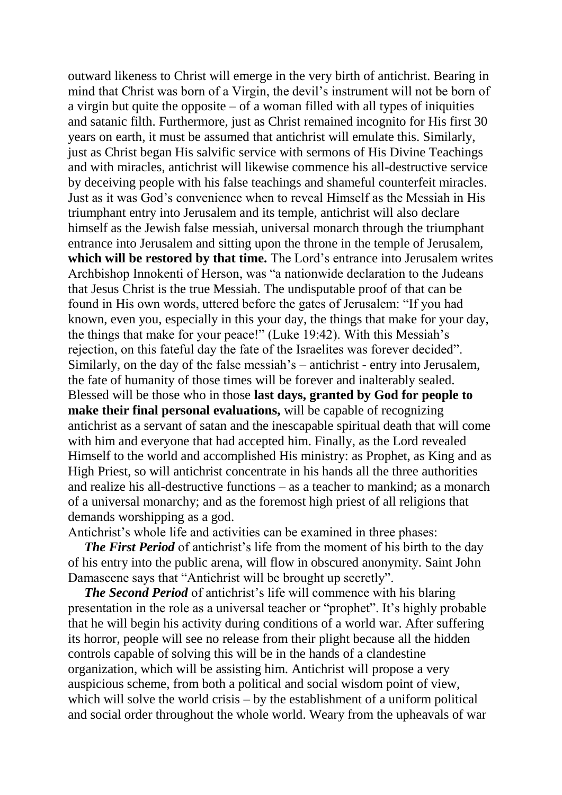outward likeness to Christ will emerge in the very birth of antichrist. Bearing in mind that Christ was born of a Virgin, the devil's instrument will not be born of a virgin but quite the opposite – of a woman filled with all types of iniquities and satanic filth. Furthermore, just as Christ remained incognito for His first 30 years on earth, it must be assumed that antichrist will emulate this. Similarly, just as Christ began His salvific service with sermons of His Divine Teachings and with miracles, antichrist will likewise commence his all-destructive service by deceiving people with his false teachings and shameful counterfeit miracles. Just as it was God's convenience when to reveal Himself as the Messiah in His triumphant entry into Jerusalem and its temple, antichrist will also declare himself as the Jewish false messiah, universal monarch through the triumphant entrance into Jerusalem and sitting upon the throne in the temple of Jerusalem, **which will be restored by that time.** The Lord's entrance into Jerusalem writes Archbishop Innokenti of Herson, was "a nationwide declaration to the Judeans that Jesus Christ is the true Messiah. The undisputable proof of that can be found in His own words, uttered before the gates of Jerusalem: "If you had known, even you, especially in this your day, the things that make for your day, the things that make for your peace!" (Luke 19:42). With this Messiah's rejection, on this fateful day the fate of the Israelites was forever decided". Similarly, on the day of the false messiah's – antichrist - entry into Jerusalem, the fate of humanity of those times will be forever and inalterably sealed. Blessed will be those who in those **last days, granted by God for people to make their final personal evaluations,** will be capable of recognizing antichrist as a servant of satan and the inescapable spiritual death that will come with him and everyone that had accepted him. Finally, as the Lord revealed Himself to the world and accomplished His ministry: as Prophet, as King and as High Priest, so will antichrist concentrate in his hands all the three authorities and realize his all-destructive functions – as a teacher to mankind; as a monarch of a universal monarchy; and as the foremost high priest of all religions that demands worshipping as a god.

Antichrist's whole life and activities can be examined in three phases:

*The First Period* of antichrist's life from the moment of his birth to the day of his entry into the public arena, will flow in obscured anonymity. Saint John Damascene says that "Antichrist will be brought up secretly".

 *The Second Period* of antichrist's life will commence with his blaring presentation in the role as a universal teacher or "prophet". It's highly probable that he will begin his activity during conditions of a world war. After suffering its horror, people will see no release from their plight because all the hidden controls capable of solving this will be in the hands of a clandestine organization, which will be assisting him. Antichrist will propose a very auspicious scheme, from both a political and social wisdom point of view, which will solve the world crisis – by the establishment of a uniform political and social order throughout the whole world. Weary from the upheavals of war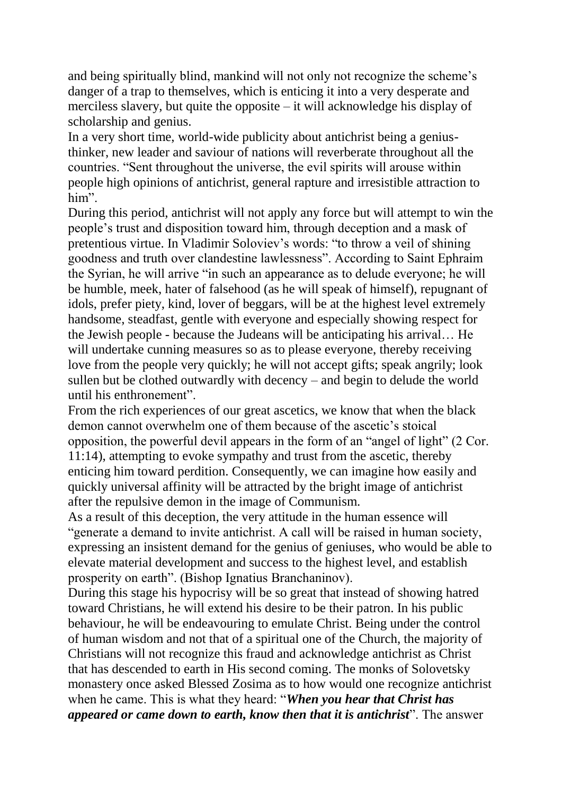and being spiritually blind, mankind will not only not recognize the scheme's danger of a trap to themselves, which is enticing it into a very desperate and merciless slavery, but quite the opposite – it will acknowledge his display of scholarship and genius.

In a very short time, world-wide publicity about antichrist being a geniusthinker, new leader and saviour of nations will reverberate throughout all the countries. "Sent throughout the universe, the evil spirits will arouse within people high opinions of antichrist, general rapture and irresistible attraction to him".

During this period, antichrist will not apply any force but will attempt to win the people's trust and disposition toward him, through deception and a mask of pretentious virtue. In Vladimir Soloviev's words: "to throw a veil of shining goodness and truth over clandestine lawlessness". According to Saint Ephraim the Syrian, he will arrive "in such an appearance as to delude everyone; he will be humble, meek, hater of falsehood (as he will speak of himself), repugnant of idols, prefer piety, kind, lover of beggars, will be at the highest level extremely handsome, steadfast, gentle with everyone and especially showing respect for the Jewish people - because the Judeans will be anticipating his arrival… He will undertake cunning measures so as to please everyone, thereby receiving love from the people very quickly; he will not accept gifts; speak angrily; look sullen but be clothed outwardly with decency – and begin to delude the world until his enthronement".

From the rich experiences of our great ascetics, we know that when the black demon cannot overwhelm one of them because of the ascetic's stoical opposition, the powerful devil appears in the form of an "angel of light" (2 Cor. 11:14), attempting to evoke sympathy and trust from the ascetic, thereby enticing him toward perdition. Consequently, we can imagine how easily and quickly universal affinity will be attracted by the bright image of antichrist after the repulsive demon in the image of Communism.

As a result of this deception, the very attitude in the human essence will "generate a demand to invite antichrist. A call will be raised in human society, expressing an insistent demand for the genius of geniuses, who would be able to elevate material development and success to the highest level, and establish prosperity on earth". (Bishop Ignatius Branchaninov).

During this stage his hypocrisy will be so great that instead of showing hatred toward Christians, he will extend his desire to be their patron. In his public behaviour, he will be endeavouring to emulate Christ. Being under the control of human wisdom and not that of a spiritual one of the Church, the majority of Christians will not recognize this fraud and acknowledge antichrist as Christ that has descended to earth in His second coming. The monks of Solovetsky monastery once asked Blessed Zosima as to how would one recognize antichrist when he came. This is what they heard: "*When you hear that Christ has appeared or came down to earth, know then that it is antichrist*". The answer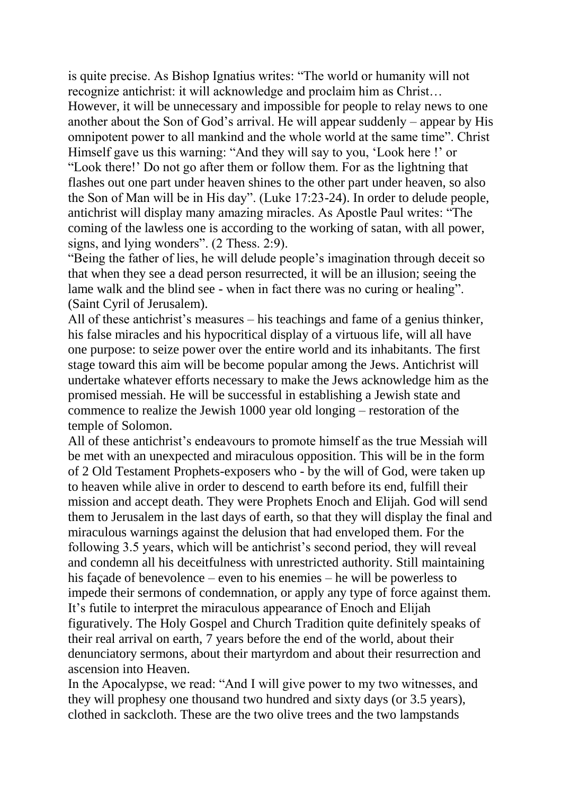is quite precise. As Bishop Ignatius writes: "The world or humanity will not recognize antichrist: it will acknowledge and proclaim him as Christ… However, it will be unnecessary and impossible for people to relay news to one another about the Son of God's arrival. He will appear suddenly – appear by His omnipotent power to all mankind and the whole world at the same time". Christ Himself gave us this warning: "And they will say to you, 'Look here !' or

"Look there!' Do not go after them or follow them. For as the lightning that flashes out one part under heaven shines to the other part under heaven, so also the Son of Man will be in His day". (Luke 17:23-24). In order to delude people, antichrist will display many amazing miracles. As Apostle Paul writes: "The coming of the lawless one is according to the working of satan, with all power, signs, and lying wonders". (2 Thess. 2:9).

"Being the father of lies, he will delude people's imagination through deceit so that when they see a dead person resurrected, it will be an illusion; seeing the lame walk and the blind see - when in fact there was no curing or healing". (Saint Cyril of Jerusalem).

All of these antichrist's measures – his teachings and fame of a genius thinker, his false miracles and his hypocritical display of a virtuous life, will all have one purpose: to seize power over the entire world and its inhabitants. The first stage toward this aim will be become popular among the Jews. Antichrist will undertake whatever efforts necessary to make the Jews acknowledge him as the promised messiah. He will be successful in establishing a Jewish state and commence to realize the Jewish 1000 year old longing – restoration of the temple of Solomon.

All of these antichrist's endeavours to promote himself as the true Messiah will be met with an unexpected and miraculous opposition. This will be in the form of 2 Old Testament Prophets-exposers who - by the will of God, were taken up to heaven while alive in order to descend to earth before its end, fulfill their mission and accept death. They were Prophets Enoch and Elijah. God will send them to Jerusalem in the last days of earth, so that they will display the final and miraculous warnings against the delusion that had enveloped them. For the following 3.5 years, which will be antichrist's second period, they will reveal and condemn all his deceitfulness with unrestricted authority. Still maintaining his façade of benevolence – even to his enemies – he will be powerless to impede their sermons of condemnation, or apply any type of force against them. It's futile to interpret the miraculous appearance of Enoch and Elijah figuratively. The Holy Gospel and Church Tradition quite definitely speaks of their real arrival on earth, 7 years before the end of the world, about their denunciatory sermons, about their martyrdom and about their resurrection and ascension into Heaven.

In the Apocalypse, we read: "And I will give power to my two witnesses, and they will prophesy one thousand two hundred and sixty days (or 3.5 years), clothed in sackcloth. These are the two olive trees and the two lampstands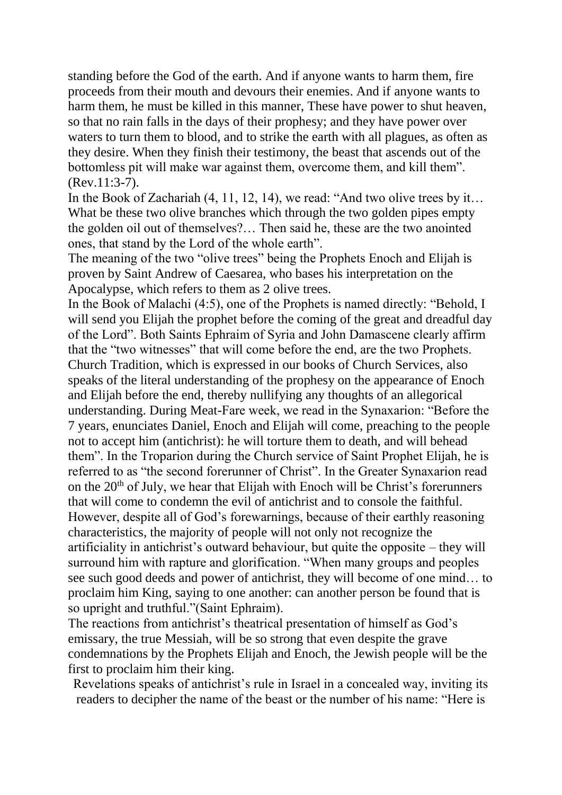standing before the God of the earth. And if anyone wants to harm them, fire proceeds from their mouth and devours their enemies. And if anyone wants to harm them, he must be killed in this manner, These have power to shut heaven, so that no rain falls in the days of their prophesy; and they have power over waters to turn them to blood, and to strike the earth with all plagues, as often as they desire. When they finish their testimony, the beast that ascends out of the bottomless pit will make war against them, overcome them, and kill them". (Rev.11:3-7).

In the Book of Zachariah (4, 11, 12, 14), we read: "And two olive trees by it... What be these two olive branches which through the two golden pipes empty the golden oil out of themselves?… Then said he, these are the two anointed ones, that stand by the Lord of the whole earth".

The meaning of the two "olive trees" being the Prophets Enoch and Elijah is proven by Saint Andrew of Caesarea, who bases his interpretation on the Apocalypse, which refers to them as 2 olive trees.

In the Book of Malachi (4:5), one of the Prophets is named directly: "Behold, I will send you Elijah the prophet before the coming of the great and dreadful day of the Lord". Both Saints Ephraim of Syria and John Damascene clearly affirm that the "two witnesses" that will come before the end, are the two Prophets. Church Tradition, which is expressed in our books of Church Services, also speaks of the literal understanding of the prophesy on the appearance of Enoch and Elijah before the end, thereby nullifying any thoughts of an allegorical understanding. During Meat-Fare week, we read in the Synaxarion: "Before the 7 years, enunciates Daniel, Enoch and Elijah will come, preaching to the people not to accept him (antichrist): he will torture them to death, and will behead them". In the Troparion during the Church service of Saint Prophet Elijah, he is referred to as "the second forerunner of Christ". In the Greater Synaxarion read on the  $20<sup>th</sup>$  of July, we hear that Elijah with Enoch will be Christ's forerunners that will come to condemn the evil of antichrist and to console the faithful. However, despite all of God's forewarnings, because of their earthly reasoning characteristics, the majority of people will not only not recognize the artificiality in antichrist's outward behaviour, but quite the opposite – they will surround him with rapture and glorification. "When many groups and peoples see such good deeds and power of antichrist, they will become of one mind… to proclaim him King, saying to one another: can another person be found that is so upright and truthful."(Saint Ephraim).

The reactions from antichrist's theatrical presentation of himself as God's emissary, the true Messiah, will be so strong that even despite the grave condemnations by the Prophets Elijah and Enoch, the Jewish people will be the first to proclaim him their king.

Revelations speaks of antichrist's rule in Israel in a concealed way, inviting its readers to decipher the name of the beast or the number of his name: "Here is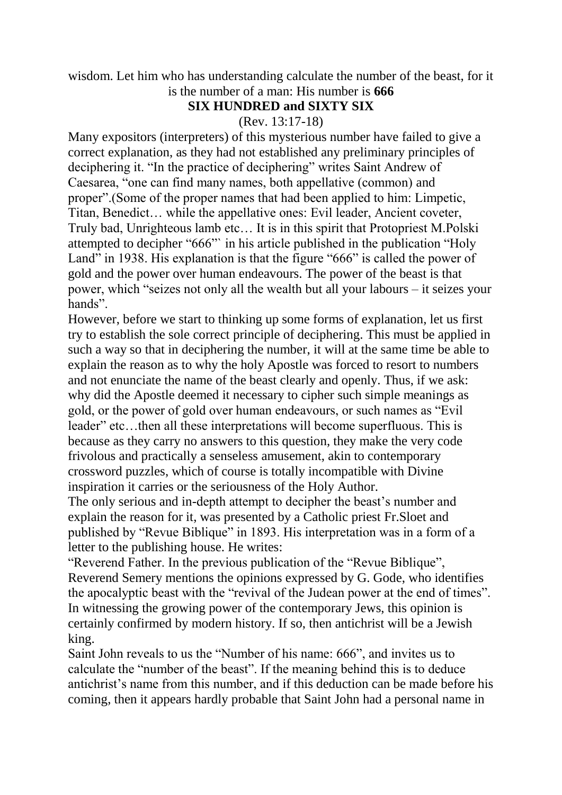wisdom. Let him who has understanding calculate the number of the beast, for it is the number of a man: His number is **666**

## **SIX HUNDRED and SIXTY SIX**

(Rev. 13:17-18)

Many expositors (interpreters) of this mysterious number have failed to give a correct explanation, as they had not established any preliminary principles of deciphering it. "In the practice of deciphering" writes Saint Andrew of Caesarea, "one can find many names, both appellative (common) and proper".(Some of the proper names that had been applied to him: Limpetic, Titan, Benedict… while the appellative ones: Evil leader, Ancient coveter, Truly bad, Unrighteous lamb etc… It is in this spirit that Protopriest M.Polski attempted to decipher "666"` in his article published in the publication "Holy Land" in 1938. His explanation is that the figure "666" is called the power of gold and the power over human endeavours. The power of the beast is that power, which "seizes not only all the wealth but all your labours – it seizes your hands".

However, before we start to thinking up some forms of explanation, let us first try to establish the sole correct principle of deciphering. This must be applied in such a way so that in deciphering the number, it will at the same time be able to explain the reason as to why the holy Apostle was forced to resort to numbers and not enunciate the name of the beast clearly and openly. Thus, if we ask: why did the Apostle deemed it necessary to cipher such simple meanings as gold, or the power of gold over human endeavours, or such names as "Evil leader" etc…then all these interpretations will become superfluous. This is because as they carry no answers to this question, they make the very code frivolous and practically a senseless amusement, akin to contemporary crossword puzzles, which of course is totally incompatible with Divine inspiration it carries or the seriousness of the Holy Author.

The only serious and in-depth attempt to decipher the beast's number and explain the reason for it, was presented by a Catholic priest Fr.Sloet and published by "Revue Biblique" in 1893. His interpretation was in a form of a letter to the publishing house. He writes:

"Reverend Father. In the previous publication of the "Revue Biblique", Reverend Semery mentions the opinions expressed by G. Gode, who identifies the apocalyptic beast with the "revival of the Judean power at the end of times". In witnessing the growing power of the contemporary Jews, this opinion is certainly confirmed by modern history. If so, then antichrist will be a Jewish king.

Saint John reveals to us the "Number of his name: 666", and invites us to calculate the "number of the beast". If the meaning behind this is to deduce antichrist's name from this number, and if this deduction can be made before his coming, then it appears hardly probable that Saint John had a personal name in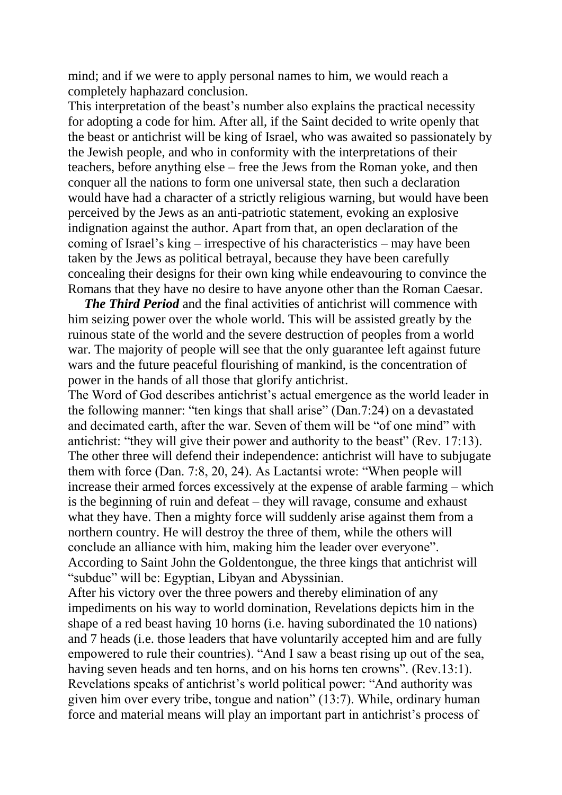mind; and if we were to apply personal names to him, we would reach a completely haphazard conclusion.

This interpretation of the beast's number also explains the practical necessity for adopting a code for him. After all, if the Saint decided to write openly that the beast or antichrist will be king of Israel, who was awaited so passionately by the Jewish people, and who in conformity with the interpretations of their teachers, before anything else – free the Jews from the Roman yoke, and then conquer all the nations to form one universal state, then such a declaration would have had a character of a strictly religious warning, but would have been perceived by the Jews as an anti-patriotic statement, evoking an explosive indignation against the author. Apart from that, an open declaration of the coming of Israel's king – irrespective of his characteristics – may have been taken by the Jews as political betrayal, because they have been carefully concealing their designs for their own king while endeavouring to convince the Romans that they have no desire to have anyone other than the Roman Caesar.

 *The Third Period* and the final activities of antichrist will commence with him seizing power over the whole world. This will be assisted greatly by the ruinous state of the world and the severe destruction of peoples from a world war. The majority of people will see that the only guarantee left against future wars and the future peaceful flourishing of mankind, is the concentration of power in the hands of all those that glorify antichrist.

The Word of God describes antichrist's actual emergence as the world leader in the following manner: "ten kings that shall arise" (Dan.7:24) on a devastated and decimated earth, after the war. Seven of them will be "of one mind" with antichrist: "they will give their power and authority to the beast" (Rev. 17:13). The other three will defend their independence: antichrist will have to subjugate them with force (Dan. 7:8, 20, 24). As Lactantsi wrote: "When people will increase their armed forces excessively at the expense of arable farming – which is the beginning of ruin and defeat – they will ravage, consume and exhaust what they have. Then a mighty force will suddenly arise against them from a northern country. He will destroy the three of them, while the others will conclude an alliance with him, making him the leader over everyone". According to Saint John the Goldentongue, the three kings that antichrist will "subdue" will be: Egyptian, Libyan and Abyssinian.

After his victory over the three powers and thereby elimination of any impediments on his way to world domination, Revelations depicts him in the shape of a red beast having 10 horns (i.e. having subordinated the 10 nations) and 7 heads (i.e. those leaders that have voluntarily accepted him and are fully empowered to rule their countries). "And I saw a beast rising up out of the sea, having seven heads and ten horns, and on his horns ten crowns". (Rev.13:1). Revelations speaks of antichrist's world political power: "And authority was given him over every tribe, tongue and nation" (13:7). While, ordinary human force and material means will play an important part in antichrist's process of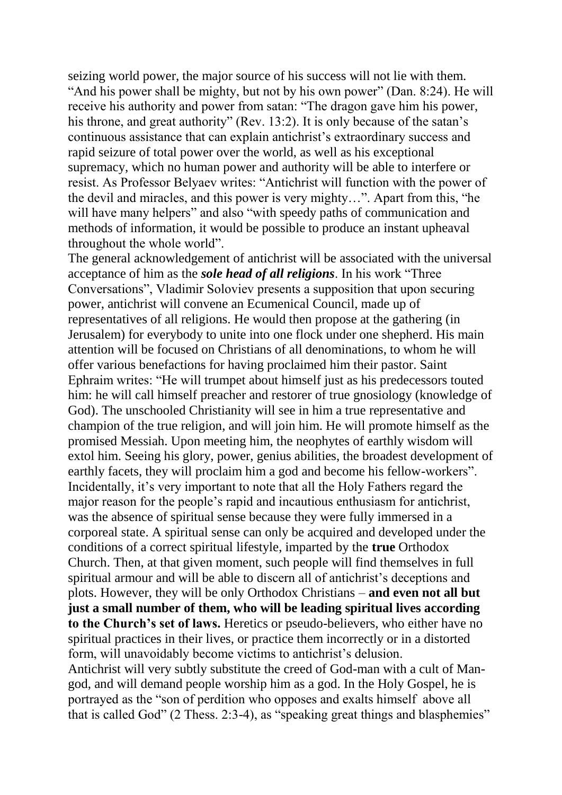seizing world power, the major source of his success will not lie with them. "And his power shall be mighty, but not by his own power" (Dan. 8:24). He will receive his authority and power from satan: "The dragon gave him his power, his throne, and great authority" (Rev. 13:2). It is only because of the satan's continuous assistance that can explain antichrist's extraordinary success and rapid seizure of total power over the world, as well as his exceptional supremacy, which no human power and authority will be able to interfere or resist. As Professor Belyaev writes: "Antichrist will function with the power of the devil and miracles, and this power is very mighty…". Apart from this, "he will have many helpers" and also "with speedy paths of communication and methods of information, it would be possible to produce an instant upheaval throughout the whole world".

The general acknowledgement of antichrist will be associated with the universal acceptance of him as the *sole head of all religions*. In his work "Three Conversations", Vladimir Soloviev presents a supposition that upon securing power, antichrist will convene an Ecumenical Council, made up of representatives of all religions. He would then propose at the gathering (in Jerusalem) for everybody to unite into one flock under one shepherd. His main attention will be focused on Christians of all denominations, to whom he will offer various benefactions for having proclaimed him their pastor. Saint Ephraim writes: "He will trumpet about himself just as his predecessors touted him: he will call himself preacher and restorer of true gnosiology (knowledge of God). The unschooled Christianity will see in him a true representative and champion of the true religion, and will join him. He will promote himself as the promised Messiah. Upon meeting him, the neophytes of earthly wisdom will extol him. Seeing his glory, power, genius abilities, the broadest development of earthly facets, they will proclaim him a god and become his fellow-workers". Incidentally, it's very important to note that all the Holy Fathers regard the major reason for the people's rapid and incautious enthusiasm for antichrist, was the absence of spiritual sense because they were fully immersed in a corporeal state. A spiritual sense can only be acquired and developed under the conditions of a correct spiritual lifestyle, imparted by the **true** Orthodox Church. Then, at that given moment, such people will find themselves in full spiritual armour and will be able to discern all of antichrist's deceptions and plots. However, they will be only Orthodox Christians – **and even not all but just a small number of them, who will be leading spiritual lives according to the Church's set of laws.** Heretics or pseudo-believers, who either have no spiritual practices in their lives, or practice them incorrectly or in a distorted form, will unavoidably become victims to antichrist's delusion. Antichrist will very subtly substitute the creed of God-man with a cult of Mangod, and will demand people worship him as a god. In the Holy Gospel, he is portrayed as the "son of perdition who opposes and exalts himself above all that is called God" (2 Thess. 2:3-4), as "speaking great things and blasphemies"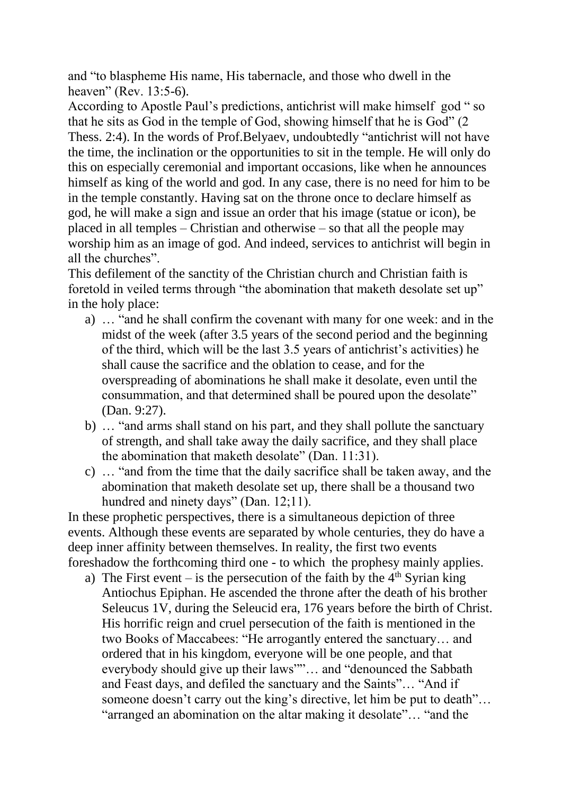and "to blaspheme His name, His tabernacle, and those who dwell in the heaven" (Rev. 13:5-6).

According to Apostle Paul's predictions, antichrist will make himself god " so that he sits as God in the temple of God, showing himself that he is God" (2 Thess. 2:4). In the words of Prof.Belyaev, undoubtedly "antichrist will not have the time, the inclination or the opportunities to sit in the temple. He will only do this on especially ceremonial and important occasions, like when he announces himself as king of the world and god. In any case, there is no need for him to be in the temple constantly. Having sat on the throne once to declare himself as god, he will make a sign and issue an order that his image (statue or icon), be placed in all temples – Christian and otherwise – so that all the people may worship him as an image of god. And indeed, services to antichrist will begin in all the churches".

This defilement of the sanctity of the Christian church and Christian faith is foretold in veiled terms through "the abomination that maketh desolate set up" in the holy place:

- a) … "and he shall confirm the covenant with many for one week: and in the midst of the week (after 3.5 years of the second period and the beginning of the third, which will be the last 3.5 years of antichrist's activities) he shall cause the sacrifice and the oblation to cease, and for the overspreading of abominations he shall make it desolate, even until the consummation, and that determined shall be poured upon the desolate" (Dan. 9:27).
- b) … "and arms shall stand on his part, and they shall pollute the sanctuary of strength, and shall take away the daily sacrifice, and they shall place the abomination that maketh desolate" (Dan. 11:31).
- c) … "and from the time that the daily sacrifice shall be taken away, and the abomination that maketh desolate set up, there shall be a thousand two hundred and ninety days" (Dan. 12;11).

In these prophetic perspectives, there is a simultaneous depiction of three events. Although these events are separated by whole centuries, they do have a deep inner affinity between themselves. In reality, the first two events foreshadow the forthcoming third one - to which the prophesy mainly applies.

a) The First event – is the persecution of the faith by the  $4<sup>th</sup>$  Syrian king Antiochus Epiphan. He ascended the throne after the death of his brother Seleucus 1V, during the Seleucid era, 176 years before the birth of Christ. His horrific reign and cruel persecution of the faith is mentioned in the two Books of Maccabees: "He arrogantly entered the sanctuary… and ordered that in his kingdom, everyone will be one people, and that everybody should give up their laws""… and "denounced the Sabbath and Feast days, and defiled the sanctuary and the Saints"… "And if someone doesn't carry out the king's directive, let him be put to death"… "arranged an abomination on the altar making it desolate"… "and the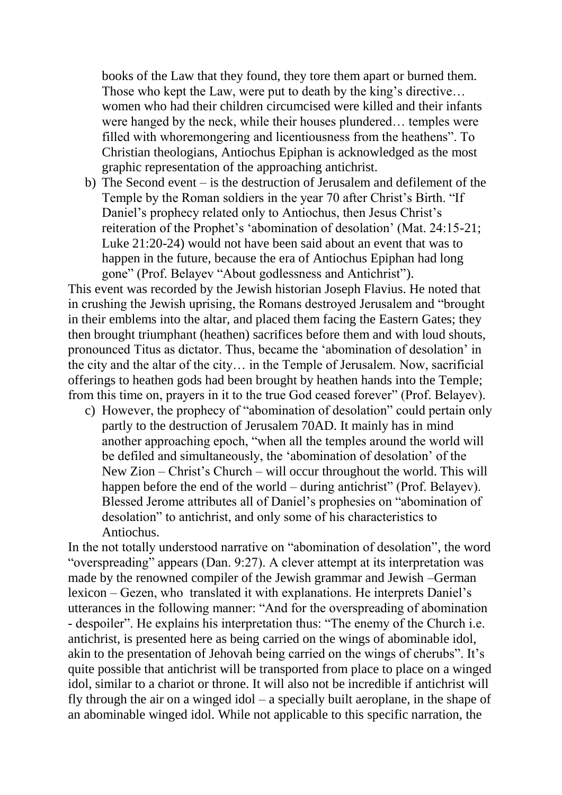books of the Law that they found, they tore them apart or burned them. Those who kept the Law, were put to death by the king's directive... women who had their children circumcised were killed and their infants were hanged by the neck, while their houses plundered… temples were filled with whoremongering and licentiousness from the heathens". To Christian theologians, Antiochus Epiphan is acknowledged as the most graphic representation of the approaching antichrist.

b) The Second event – is the destruction of Jerusalem and defilement of the Temple by the Roman soldiers in the year 70 after Christ's Birth. "If Daniel's prophecy related only to Antiochus, then Jesus Christ's reiteration of the Prophet's 'abomination of desolation' (Mat. 24:15-21; Luke 21:20-24) would not have been said about an event that was to happen in the future, because the era of Antiochus Epiphan had long gone" (Prof. Belayev "About godlessness and Antichrist").

This event was recorded by the Jewish historian Joseph Flavius. He noted that in crushing the Jewish uprising, the Romans destroyed Jerusalem and "brought in their emblems into the altar, and placed them facing the Eastern Gates; they then brought triumphant (heathen) sacrifices before them and with loud shouts, pronounced Titus as dictator. Thus, became the 'abomination of desolation' in the city and the altar of the city… in the Temple of Jerusalem. Now, sacrificial offerings to heathen gods had been brought by heathen hands into the Temple; from this time on, prayers in it to the true God ceased forever" (Prof. Belayev).

c) However, the prophecy of "abomination of desolation" could pertain only partly to the destruction of Jerusalem 70AD. It mainly has in mind another approaching epoch, "when all the temples around the world will be defiled and simultaneously, the 'abomination of desolation' of the New Zion – Christ's Church – will occur throughout the world. This will happen before the end of the world – during antichrist" (Prof. Belayev). Blessed Jerome attributes all of Daniel's prophesies on "abomination of desolation" to antichrist, and only some of his characteristics to Antiochus.

In the not totally understood narrative on "abomination of desolation", the word "overspreading" appears (Dan. 9:27). A clever attempt at its interpretation was made by the renowned compiler of the Jewish grammar and Jewish –German lexicon – Gezen, who translated it with explanations. He interprets Daniel's utterances in the following manner: "And for the overspreading of abomination - despoiler". He explains his interpretation thus: "The enemy of the Church i.e. antichrist, is presented here as being carried on the wings of abominable idol, akin to the presentation of Jehovah being carried on the wings of cherubs". It's quite possible that antichrist will be transported from place to place on a winged idol, similar to a chariot or throne. It will also not be incredible if antichrist will fly through the air on a winged idol – a specially built aeroplane, in the shape of an abominable winged idol. While not applicable to this specific narration, the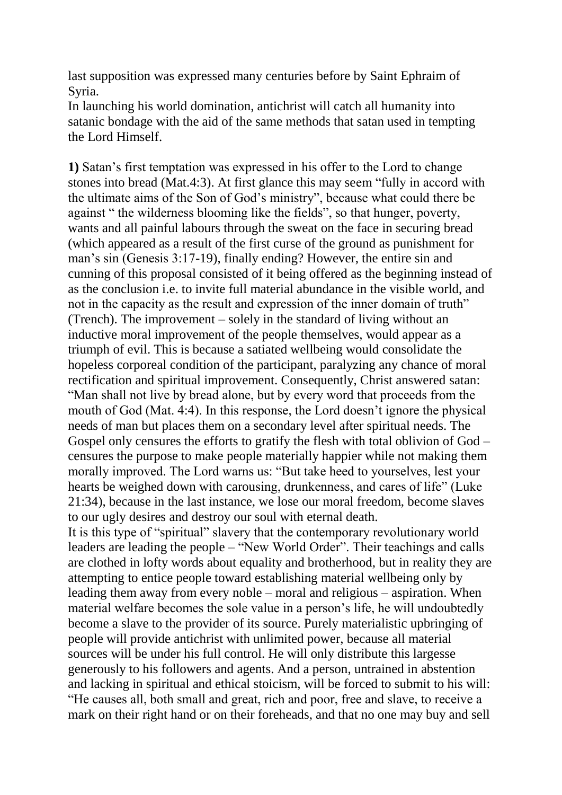last supposition was expressed many centuries before by Saint Ephraim of Syria.

In launching his world domination, antichrist will catch all humanity into satanic bondage with the aid of the same methods that satan used in tempting the Lord Himself.

**1)** Satan's first temptation was expressed in his offer to the Lord to change stones into bread (Mat.4:3). At first glance this may seem "fully in accord with the ultimate aims of the Son of God's ministry", because what could there be against " the wilderness blooming like the fields", so that hunger, poverty, wants and all painful labours through the sweat on the face in securing bread (which appeared as a result of the first curse of the ground as punishment for man's sin (Genesis 3:17-19), finally ending? However, the entire sin and cunning of this proposal consisted of it being offered as the beginning instead of as the conclusion i.e. to invite full material abundance in the visible world, and not in the capacity as the result and expression of the inner domain of truth" (Trench). The improvement – solely in the standard of living without an inductive moral improvement of the people themselves, would appear as a triumph of evil. This is because a satiated wellbeing would consolidate the hopeless corporeal condition of the participant, paralyzing any chance of moral rectification and spiritual improvement. Consequently, Christ answered satan: "Man shall not live by bread alone, but by every word that proceeds from the mouth of God (Mat. 4:4). In this response, the Lord doesn't ignore the physical needs of man but places them on a secondary level after spiritual needs. The Gospel only censures the efforts to gratify the flesh with total oblivion of God – censures the purpose to make people materially happier while not making them morally improved. The Lord warns us: "But take heed to yourselves, lest your hearts be weighed down with carousing, drunkenness, and cares of life" (Luke 21:34), because in the last instance, we lose our moral freedom, become slaves to our ugly desires and destroy our soul with eternal death.

It is this type of "spiritual" slavery that the contemporary revolutionary world leaders are leading the people – "New World Order". Their teachings and calls are clothed in lofty words about equality and brotherhood, but in reality they are attempting to entice people toward establishing material wellbeing only by leading them away from every noble – moral and religious – aspiration. When material welfare becomes the sole value in a person's life, he will undoubtedly become a slave to the provider of its source. Purely materialistic upbringing of people will provide antichrist with unlimited power, because all material sources will be under his full control. He will only distribute this largesse generously to his followers and agents. And a person, untrained in abstention and lacking in spiritual and ethical stoicism, will be forced to submit to his will: "He causes all, both small and great, rich and poor, free and slave, to receive a mark on their right hand or on their foreheads, and that no one may buy and sell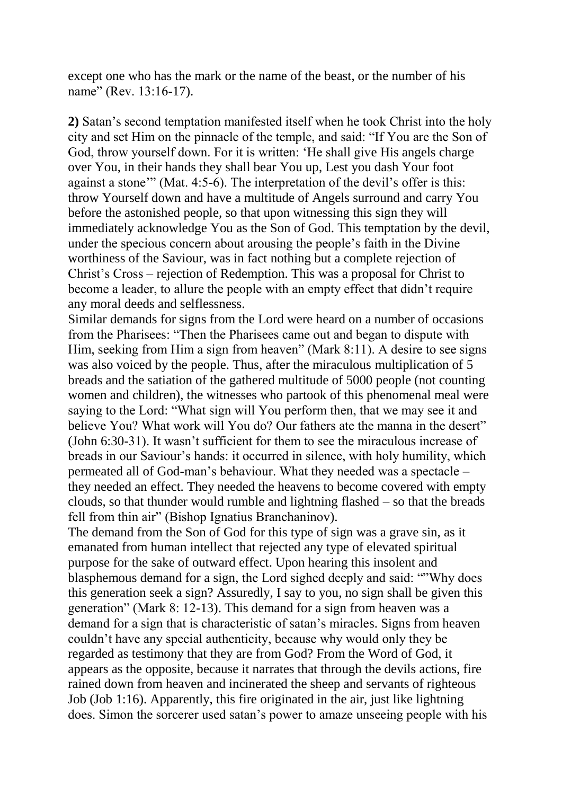except one who has the mark or the name of the beast, or the number of his name" (Rev. 13:16-17).

**2)** Satan's second temptation manifested itself when he took Christ into the holy city and set Him on the pinnacle of the temple, and said: "If You are the Son of God, throw yourself down. For it is written: 'He shall give His angels charge over You, in their hands they shall bear You up, Lest you dash Your foot against a stone'" (Mat. 4:5-6). The interpretation of the devil's offer is this: throw Yourself down and have a multitude of Angels surround and carry You before the astonished people, so that upon witnessing this sign they will immediately acknowledge You as the Son of God. This temptation by the devil, under the specious concern about arousing the people's faith in the Divine worthiness of the Saviour, was in fact nothing but a complete rejection of Christ's Cross – rejection of Redemption. This was a proposal for Christ to become a leader, to allure the people with an empty effect that didn't require any moral deeds and selflessness.

Similar demands for signs from the Lord were heard on a number of occasions from the Pharisees: "Then the Pharisees came out and began to dispute with Him, seeking from Him a sign from heaven" (Mark 8:11). A desire to see signs was also voiced by the people. Thus, after the miraculous multiplication of 5 breads and the satiation of the gathered multitude of 5000 people (not counting women and children), the witnesses who partook of this phenomenal meal were saying to the Lord: "What sign will You perform then, that we may see it and believe You? What work will You do? Our fathers ate the manna in the desert" (John 6:30-31). It wasn't sufficient for them to see the miraculous increase of breads in our Saviour's hands: it occurred in silence, with holy humility, which permeated all of God-man's behaviour. What they needed was a spectacle – they needed an effect. They needed the heavens to become covered with empty clouds, so that thunder would rumble and lightning flashed – so that the breads fell from thin air" (Bishop Ignatius Branchaninov).

The demand from the Son of God for this type of sign was a grave sin, as it emanated from human intellect that rejected any type of elevated spiritual purpose for the sake of outward effect. Upon hearing this insolent and blasphemous demand for a sign, the Lord sighed deeply and said: ""Why does this generation seek a sign? Assuredly, I say to you, no sign shall be given this generation" (Mark 8: 12-13). This demand for a sign from heaven was a demand for a sign that is characteristic of satan's miracles. Signs from heaven couldn't have any special authenticity, because why would only they be regarded as testimony that they are from God? From the Word of God, it appears as the opposite, because it narrates that through the devils actions, fire rained down from heaven and incinerated the sheep and servants of righteous Job (Job 1:16). Apparently, this fire originated in the air, just like lightning does. Simon the sorcerer used satan's power to amaze unseeing people with his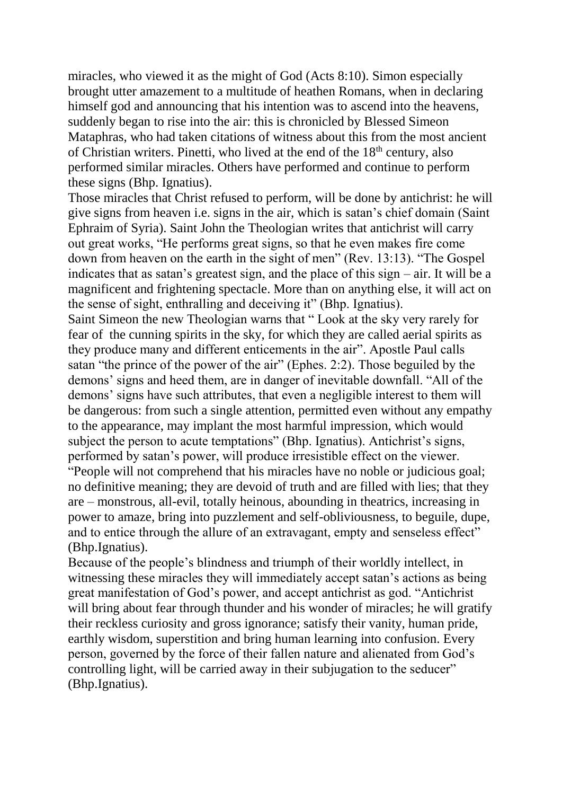miracles, who viewed it as the might of God (Acts 8:10). Simon especially brought utter amazement to a multitude of heathen Romans, when in declaring himself god and announcing that his intention was to ascend into the heavens, suddenly began to rise into the air: this is chronicled by Blessed Simeon Mataphras, who had taken citations of witness about this from the most ancient of Christian writers. Pinetti, who lived at the end of the  $18<sup>th</sup>$  century, also performed similar miracles. Others have performed and continue to perform these signs (Bhp. Ignatius).

Those miracles that Christ refused to perform, will be done by antichrist: he will give signs from heaven i.e. signs in the air, which is satan's chief domain (Saint Ephraim of Syria). Saint John the Theologian writes that antichrist will carry out great works, "He performs great signs, so that he even makes fire come down from heaven on the earth in the sight of men" (Rev. 13:13). "The Gospel indicates that as satan's greatest sign, and the place of this sign – air. It will be a magnificent and frightening spectacle. More than on anything else, it will act on the sense of sight, enthralling and deceiving it" (Bhp. Ignatius).

Saint Simeon the new Theologian warns that " Look at the sky very rarely for fear of the cunning spirits in the sky, for which they are called aerial spirits as they produce many and different enticements in the air". Apostle Paul calls satan "the prince of the power of the air" (Ephes. 2:2). Those beguiled by the demons' signs and heed them, are in danger of inevitable downfall. "All of the demons' signs have such attributes, that even a negligible interest to them will be dangerous: from such a single attention, permitted even without any empathy to the appearance, may implant the most harmful impression, which would subject the person to acute temptations" (Bhp. Ignatius). Antichrist's signs, performed by satan's power, will produce irresistible effect on the viewer. "People will not comprehend that his miracles have no noble or judicious goal; no definitive meaning; they are devoid of truth and are filled with lies; that they are – monstrous, all-evil, totally heinous, abounding in theatrics, increasing in power to amaze, bring into puzzlement and self-obliviousness, to beguile, dupe, and to entice through the allure of an extravagant, empty and senseless effect" (Bhp.Ignatius).

Because of the people's blindness and triumph of their worldly intellect, in witnessing these miracles they will immediately accept satan's actions as being great manifestation of God's power, and accept antichrist as god. "Antichrist will bring about fear through thunder and his wonder of miracles; he will gratify their reckless curiosity and gross ignorance; satisfy their vanity, human pride, earthly wisdom, superstition and bring human learning into confusion. Every person, governed by the force of their fallen nature and alienated from God's controlling light, will be carried away in their subjugation to the seducer" (Bhp.Ignatius).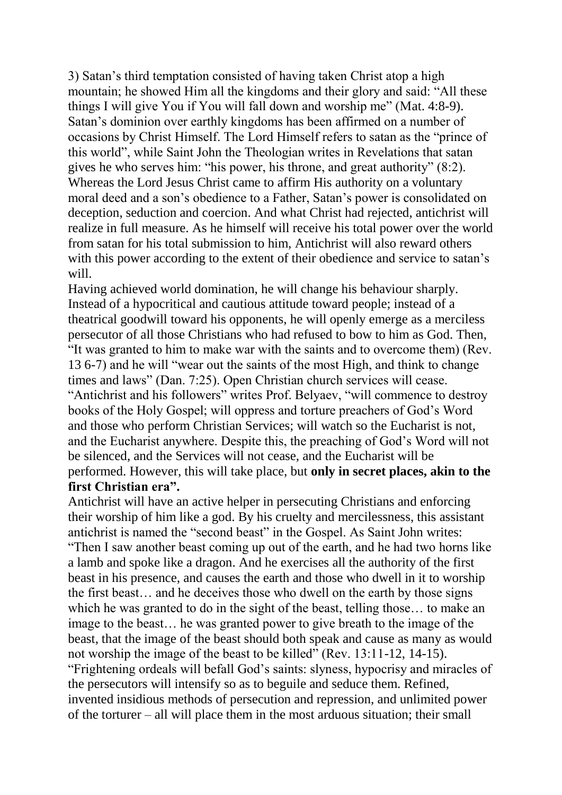3) Satan's third temptation consisted of having taken Christ atop a high mountain; he showed Him all the kingdoms and their glory and said: "All these things I will give You if You will fall down and worship me" (Mat. 4:8-9). Satan's dominion over earthly kingdoms has been affirmed on a number of occasions by Christ Himself. The Lord Himself refers to satan as the "prince of this world", while Saint John the Theologian writes in Revelations that satan gives he who serves him: "his power, his throne, and great authority" (8:2). Whereas the Lord Jesus Christ came to affirm His authority on a voluntary moral deed and a son's obedience to a Father, Satan's power is consolidated on deception, seduction and coercion. And what Christ had rejected, antichrist will realize in full measure. As he himself will receive his total power over the world from satan for his total submission to him, Antichrist will also reward others with this power according to the extent of their obedience and service to satan's will.

Having achieved world domination, he will change his behaviour sharply. Instead of a hypocritical and cautious attitude toward people; instead of a theatrical goodwill toward his opponents, he will openly emerge as a merciless persecutor of all those Christians who had refused to bow to him as God. Then, "It was granted to him to make war with the saints and to overcome them) (Rev. 13 6-7) and he will "wear out the saints of the most High, and think to change times and laws" (Dan. 7:25). Open Christian church services will cease. "Antichrist and his followers" writes Prof. Belyaev, "will commence to destroy books of the Holy Gospel; will oppress and torture preachers of God's Word and those who perform Christian Services; will watch so the Eucharist is not, and the Eucharist anywhere. Despite this, the preaching of God's Word will not be silenced, and the Services will not cease, and the Eucharist will be performed. However, this will take place, but **only in secret places, akin to the first Christian era".** 

Antichrist will have an active helper in persecuting Christians and enforcing their worship of him like a god. By his cruelty and mercilessness, this assistant antichrist is named the "second beast" in the Gospel. As Saint John writes: "Then I saw another beast coming up out of the earth, and he had two horns like a lamb and spoke like a dragon. And he exercises all the authority of the first beast in his presence, and causes the earth and those who dwell in it to worship the first beast… and he deceives those who dwell on the earth by those signs which he was granted to do in the sight of the beast, telling those… to make an image to the beast… he was granted power to give breath to the image of the beast, that the image of the beast should both speak and cause as many as would not worship the image of the beast to be killed" (Rev. 13:11-12, 14-15). "Frightening ordeals will befall God's saints: slyness, hypocrisy and miracles of the persecutors will intensify so as to beguile and seduce them. Refined, invented insidious methods of persecution and repression, and unlimited power of the torturer – all will place them in the most arduous situation; their small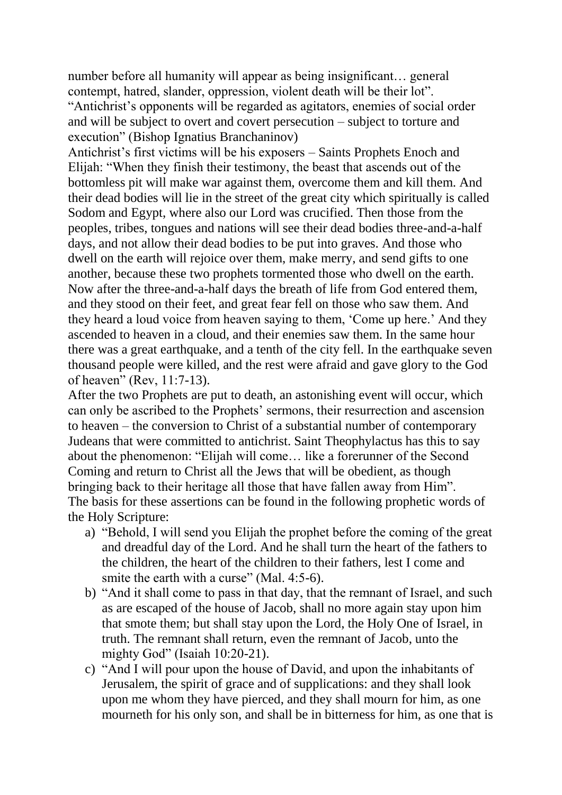number before all humanity will appear as being insignificant… general contempt, hatred, slander, oppression, violent death will be their lot". "Antichrist's opponents will be regarded as agitators, enemies of social order and will be subject to overt and covert persecution – subject to torture and execution" (Bishop Ignatius Branchaninov)

Antichrist's first victims will be his exposers – Saints Prophets Enoch and Elijah: "When they finish their testimony, the beast that ascends out of the bottomless pit will make war against them, overcome them and kill them. And their dead bodies will lie in the street of the great city which spiritually is called Sodom and Egypt, where also our Lord was crucified. Then those from the peoples, tribes, tongues and nations will see their dead bodies three-and-a-half days, and not allow their dead bodies to be put into graves. And those who dwell on the earth will rejoice over them, make merry, and send gifts to one another, because these two prophets tormented those who dwell on the earth. Now after the three-and-a-half days the breath of life from God entered them, and they stood on their feet, and great fear fell on those who saw them. And they heard a loud voice from heaven saying to them, 'Come up here.' And they ascended to heaven in a cloud, and their enemies saw them. In the same hour there was a great earthquake, and a tenth of the city fell. In the earthquake seven thousand people were killed, and the rest were afraid and gave glory to the God of heaven" (Rev, 11:7-13).

After the two Prophets are put to death, an astonishing event will occur, which can only be ascribed to the Prophets' sermons, their resurrection and ascension to heaven – the conversion to Christ of a substantial number of contemporary Judeans that were committed to antichrist. Saint Theophylactus has this to say about the phenomenon: "Elijah will come… like a forerunner of the Second Coming and return to Christ all the Jews that will be obedient, as though bringing back to their heritage all those that have fallen away from Him". The basis for these assertions can be found in the following prophetic words of the Holy Scripture:

- a) "Behold, I will send you Elijah the prophet before the coming of the great and dreadful day of the Lord. And he shall turn the heart of the fathers to the children, the heart of the children to their fathers, lest I come and smite the earth with a curse" (Mal. 4:5-6).
- b) "And it shall come to pass in that day, that the remnant of Israel, and such as are escaped of the house of Jacob, shall no more again stay upon him that smote them; but shall stay upon the Lord, the Holy One of Israel, in truth. The remnant shall return, even the remnant of Jacob, unto the mighty God" (Isaiah 10:20-21).
- c) "And I will pour upon the house of David, and upon the inhabitants of Jerusalem, the spirit of grace and of supplications: and they shall look upon me whom they have pierced, and they shall mourn for him, as one mourneth for his only son, and shall be in bitterness for him, as one that is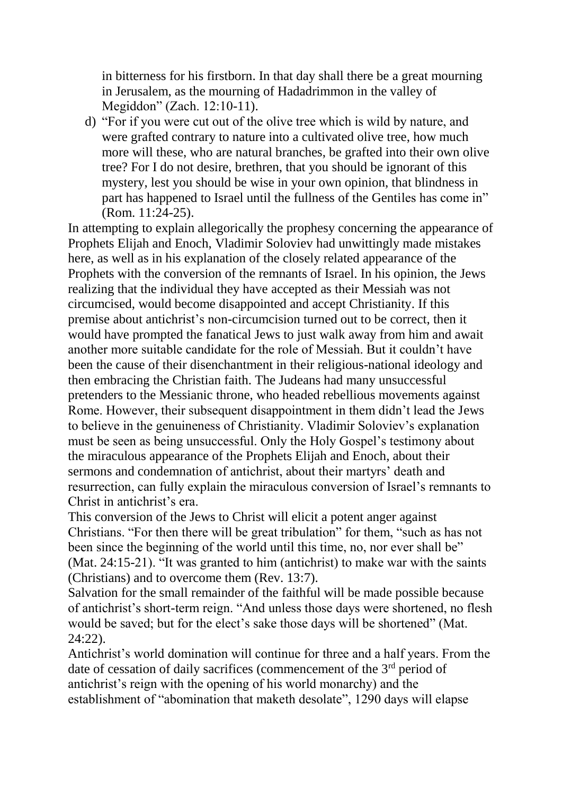in bitterness for his firstborn. In that day shall there be a great mourning in Jerusalem, as the mourning of Hadadrimmon in the valley of Megiddon" (Zach. 12:10-11).

d) "For if you were cut out of the olive tree which is wild by nature, and were grafted contrary to nature into a cultivated olive tree, how much more will these, who are natural branches, be grafted into their own olive tree? For I do not desire, brethren, that you should be ignorant of this mystery, lest you should be wise in your own opinion, that blindness in part has happened to Israel until the fullness of the Gentiles has come in" (Rom. 11:24-25).

In attempting to explain allegorically the prophesy concerning the appearance of Prophets Elijah and Enoch, Vladimir Soloviev had unwittingly made mistakes here, as well as in his explanation of the closely related appearance of the Prophets with the conversion of the remnants of Israel. In his opinion, the Jews realizing that the individual they have accepted as their Messiah was not circumcised, would become disappointed and accept Christianity. If this premise about antichrist's non-circumcision turned out to be correct, then it would have prompted the fanatical Jews to just walk away from him and await another more suitable candidate for the role of Messiah. But it couldn't have been the cause of their disenchantment in their religious-national ideology and then embracing the Christian faith. The Judeans had many unsuccessful pretenders to the Messianic throne, who headed rebellious movements against Rome. However, their subsequent disappointment in them didn't lead the Jews to believe in the genuineness of Christianity. Vladimir Soloviev's explanation must be seen as being unsuccessful. Only the Holy Gospel's testimony about the miraculous appearance of the Prophets Elijah and Enoch, about their sermons and condemnation of antichrist, about their martyrs' death and resurrection, can fully explain the miraculous conversion of Israel's remnants to Christ in antichrist's era.

This conversion of the Jews to Christ will elicit a potent anger against Christians. "For then there will be great tribulation" for them, "such as has not been since the beginning of the world until this time, no, nor ever shall be" (Mat. 24:15-21). "It was granted to him (antichrist) to make war with the saints (Christians) and to overcome them (Rev. 13:7).

Salvation for the small remainder of the faithful will be made possible because of antichrist's short-term reign. "And unless those days were shortened, no flesh would be saved; but for the elect's sake those days will be shortened" (Mat. 24:22).

Antichrist's world domination will continue for three and a half years. From the date of cessation of daily sacrifices (commencement of the 3<sup>rd</sup> period of antichrist's reign with the opening of his world monarchy) and the establishment of "abomination that maketh desolate", 1290 days will elapse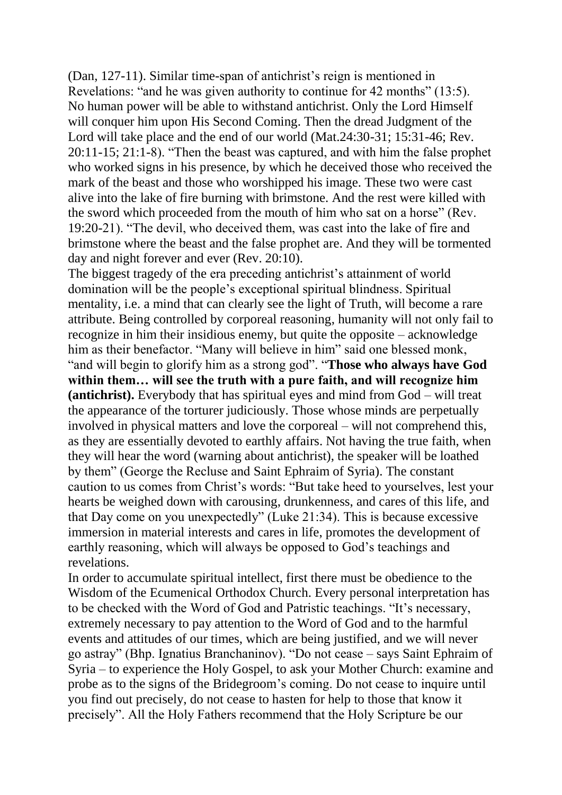(Dan, 127-11). Similar time-span of antichrist's reign is mentioned in Revelations: "and he was given authority to continue for 42 months" (13:5). No human power will be able to withstand antichrist. Only the Lord Himself will conquer him upon His Second Coming. Then the dread Judgment of the Lord will take place and the end of our world (Mat.24:30-31; 15:31-46; Rev. 20:11-15; 21:1-8). "Then the beast was captured, and with him the false prophet who worked signs in his presence, by which he deceived those who received the mark of the beast and those who worshipped his image. These two were cast alive into the lake of fire burning with brimstone. And the rest were killed with the sword which proceeded from the mouth of him who sat on a horse" (Rev. 19:20-21). "The devil, who deceived them, was cast into the lake of fire and brimstone where the beast and the false prophet are. And they will be tormented day and night forever and ever (Rev. 20:10).

The biggest tragedy of the era preceding antichrist's attainment of world domination will be the people's exceptional spiritual blindness. Spiritual mentality, i.e. a mind that can clearly see the light of Truth, will become a rare attribute. Being controlled by corporeal reasoning, humanity will not only fail to recognize in him their insidious enemy, but quite the opposite – acknowledge him as their benefactor. "Many will believe in him" said one blessed monk, "and will begin to glorify him as a strong god". "**Those who always have God within them… will see the truth with a pure faith, and will recognize him (antichrist).** Everybody that has spiritual eyes and mind from God – will treat the appearance of the torturer judiciously. Those whose minds are perpetually involved in physical matters and love the corporeal – will not comprehend this, as they are essentially devoted to earthly affairs. Not having the true faith, when they will hear the word (warning about antichrist), the speaker will be loathed by them" (George the Recluse and Saint Ephraim of Syria). The constant caution to us comes from Christ's words: "But take heed to yourselves, lest your hearts be weighed down with carousing, drunkenness, and cares of this life, and that Day come on you unexpectedly" (Luke 21:34). This is because excessive immersion in material interests and cares in life, promotes the development of earthly reasoning, which will always be opposed to God's teachings and revelations.

In order to accumulate spiritual intellect, first there must be obedience to the Wisdom of the Ecumenical Orthodox Church. Every personal interpretation has to be checked with the Word of God and Patristic teachings. "It's necessary, extremely necessary to pay attention to the Word of God and to the harmful events and attitudes of our times, which are being justified, and we will never go astray" (Bhp. Ignatius Branchaninov). "Do not cease – says Saint Ephraim of Syria – to experience the Holy Gospel, to ask your Mother Church: examine and probe as to the signs of the Bridegroom's coming. Do not cease to inquire until you find out precisely, do not cease to hasten for help to those that know it precisely". All the Holy Fathers recommend that the Holy Scripture be our